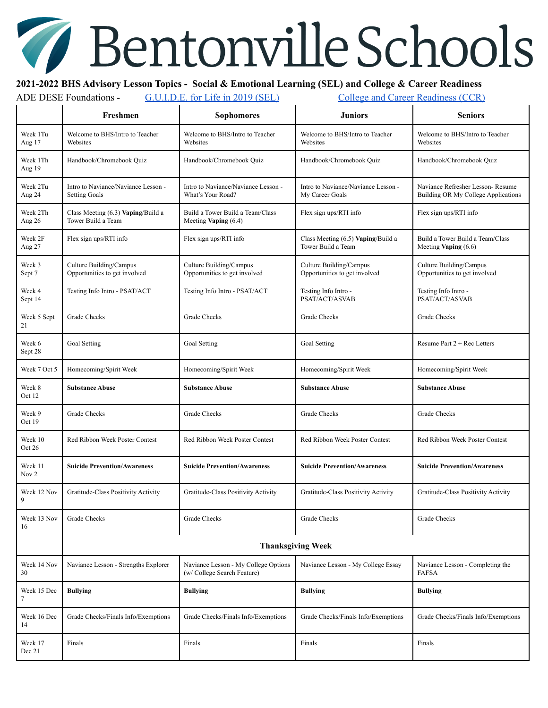## Bentonville Schools

## **2021-2022 BHS Advisory Lesson Topics - Social & Emotional Learning (SEL) and College & Career Readiness**

ADE DESE Foundations - [G.U.I.D.E.](https://dese.ade.arkansas.gov/Files/20201229124959_GUIDE%20For%20Life%20Manual%20Printed%20REVISED.pdf) for Life in 2019 (SEL) College and Career [Readiness](http://dese.ade.arkansas.gov/divisions/learning-services/student-success-plan/college-and-career-readiness-ccr) (CCR)

|                     | Freshmen                                                    | <b>Sophomores</b>                                                   | <b>Juniors</b>                                           | <b>Seniors</b>                                                          |  |  |
|---------------------|-------------------------------------------------------------|---------------------------------------------------------------------|----------------------------------------------------------|-------------------------------------------------------------------------|--|--|
| Week 1Tu<br>Aug 17  | Welcome to BHS/Intro to Teacher<br>Websites                 | Welcome to BHS/Intro to Teacher<br>Websites                         | Welcome to BHS/Intro to Teacher<br>Websites              | Welcome to BHS/Intro to Teacher<br>Websites                             |  |  |
| Week 1Th<br>Aug 19  | Handbook/Chromebook Quiz                                    | Handbook/Chromebook Quiz                                            | Handbook/Chromebook Quiz                                 | Handbook/Chromebook Quiz                                                |  |  |
| Week 2Tu<br>Aug 24  | Intro to Naviance/Naviance Lesson -<br><b>Setting Goals</b> | Intro to Naviance/Naviance Lesson -<br>What's Your Road?            | Intro to Naviance/Naviance Lesson -<br>My Career Goals   | Naviance Refresher Lesson-Resume<br>Building OR My College Applications |  |  |
| Week 2Th<br>Aug 26  | Class Meeting (6.3) Vaping/Build a<br>Tower Build a Team    | Build a Tower Build a Team/Class<br>Meeting Vaping (6.4)            | Flex sign ups/RTI info                                   | Flex sign ups/RTI info                                                  |  |  |
| Week 2F<br>Aug 27   | Flex sign ups/RTI info                                      | Flex sign ups/RTI info                                              | Class Meeting (6.5) Vaping/Build a<br>Tower Build a Team | Build a Tower Build a Team/Class<br>Meeting Vaping $(6.6)$              |  |  |
| Week 3<br>Sept 7    | Culture Building/Campus<br>Opportunities to get involved    | Culture Building/Campus<br>Opportunities to get involved            | Culture Building/Campus<br>Opportunities to get involved | Culture Building/Campus<br>Opportunities to get involved                |  |  |
| Week 4<br>Sept 14   | Testing Info Intro - PSAT/ACT                               | Testing Info Intro - PSAT/ACT                                       | Testing Info Intro -<br>PSAT/ACT/ASVAB                   | Testing Info Intro -<br>PSAT/ACT/ASVAB                                  |  |  |
| Week 5 Sept<br>21   | Grade Checks                                                | <b>Grade Checks</b>                                                 | Grade Checks                                             | Grade Checks                                                            |  |  |
| Week 6<br>Sept 28   | Goal Setting                                                | Goal Setting                                                        | Goal Setting                                             | Resume Part $2 + Rec$ Letters                                           |  |  |
| Week 7 Oct 5        | Homecoming/Spirit Week                                      | Homecoming/Spirit Week                                              | Homecoming/Spirit Week                                   | Homecoming/Spirit Week                                                  |  |  |
| Week 8<br>Oct 12    | <b>Substance Abuse</b>                                      | <b>Substance Abuse</b>                                              | <b>Substance Abuse</b>                                   | <b>Substance Abuse</b>                                                  |  |  |
| Week 9<br>Oct 19    | <b>Grade Checks</b>                                         | <b>Grade Checks</b>                                                 | Grade Checks                                             | Grade Checks                                                            |  |  |
| Week 10<br>Oct $26$ | Red Ribbon Week Poster Contest                              | Red Ribbon Week Poster Contest                                      | Red Ribbon Week Poster Contest                           | Red Ribbon Week Poster Contest                                          |  |  |
| Week 11<br>Nov 2    | <b>Suicide Prevention/Awareness</b>                         | <b>Suicide Prevention/Awareness</b>                                 | <b>Suicide Prevention/Awareness</b>                      | <b>Suicide Prevention/Awareness</b>                                     |  |  |
| Week 12 Nov<br>9    | Gratitude-Class Positivity Activity                         | Gratitude-Class Positivity Activity                                 | Gratitude-Class Positivity Activity                      | Gratitude-Class Positivity Activity                                     |  |  |
| Week 13 Nov<br>16   | Grade Checks                                                | Grade Checks                                                        | Grade Checks                                             | Grade Checks                                                            |  |  |
|                     | <b>Thanksgiving Week</b>                                    |                                                                     |                                                          |                                                                         |  |  |
| Week 14 Nov<br>30   | Naviance Lesson - Strengths Explorer                        | Naviance Lesson - My College Options<br>(w/ College Search Feature) | Naviance Lesson - My College Essay                       | Naviance Lesson - Completing the<br><b>FAFSA</b>                        |  |  |
| Week 15 Dec<br>7    | <b>Bullying</b>                                             | <b>Bullying</b>                                                     | <b>Bullying</b>                                          | <b>Bullying</b>                                                         |  |  |
| Week 16 Dec<br>14   | Grade Checks/Finals Info/Exemptions                         | Grade Checks/Finals Info/Exemptions                                 | Grade Checks/Finals Info/Exemptions                      | Grade Checks/Finals Info/Exemptions                                     |  |  |
| Week 17<br>Dec 21   | Finals                                                      | Finals                                                              | Finals                                                   | Finals                                                                  |  |  |